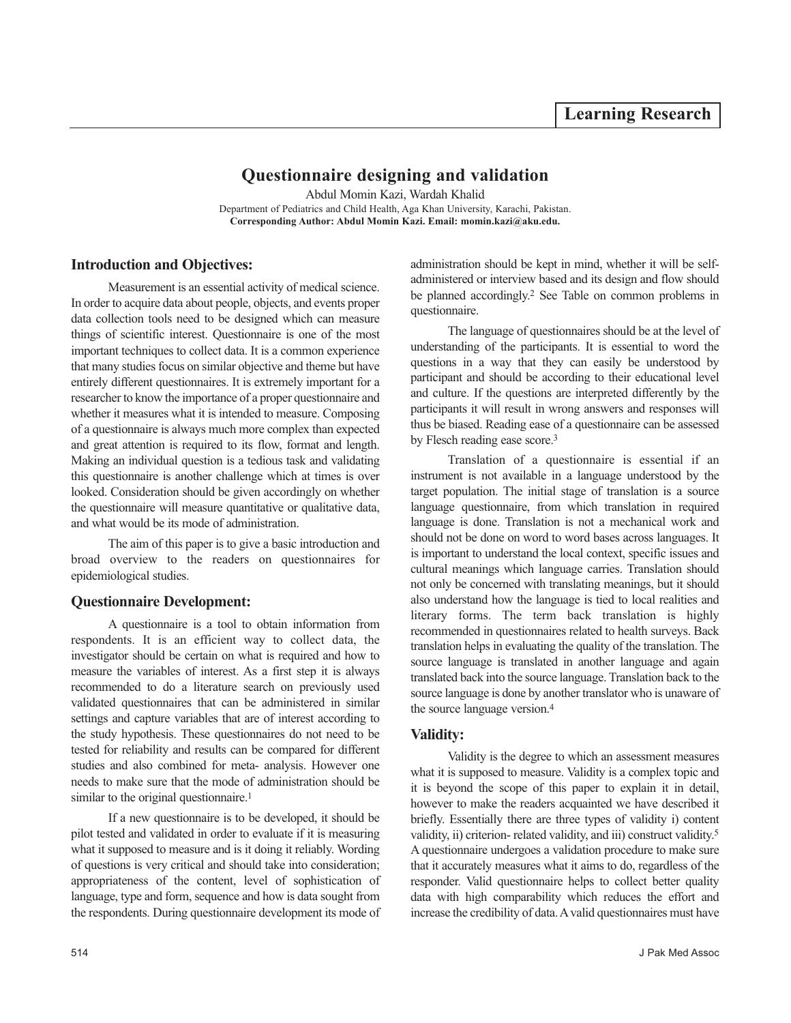# **Questionnaire designing and validation**

Abdul Momin Kazi, Wardah Khalid Department of Pediatrics and Child Health, Aga Khan University, Karachi, Pakistan. **Corresponding Author: Abdul Momin Kazi. Email: momin.kazi@aku.edu.**

# **Introduction and Objectives:**

Measurement is an essential activity of medical science. In order to acquire data about people, objects, and events proper data collection tools need to be designed which can measure things of scientific interest. Questionnaire is one of the most important techniques to collect data. It is a common experience that many studies focus on similar objective and theme but have entirely different questionnaires. It is extremely important for a researcher to know the importance of a proper questionnaire and whether it measures what it is intended to measure. Composing of a questionnaire is always much more complex than expected and great attention is required to its flow, format and length. Making an individual question is a tedious task and validating this questionnaire is another challenge which at times is over looked. Consideration should be given accordingly on whether the questionnaire will measure quantitative or qualitative data, and what would be its mode of administration.

The aim of this paper is to give a basic introduction and broad overview to the readers on questionnaires for epidemiological studies.

# **Questionnaire Development:**

A questionnaire is a tool to obtain information from respondents. It is an efficient way to collect data, the investigator should be certain on what is required and how to measure the variables of interest. As a first step it is always recommended to do a literature search on previously used validated questionnaires that can be administered in similar settings and capture variables that are of interest according to the study hypothesis. These questionnaires do not need to be tested for reliability and results can be compared for different studies and also combined for meta- analysis. However one needs to make sure that the mode of administration should be similar to the original questionnaire.<sup>1</sup>

If a new questionnaire is to be developed, it should be pilot tested and validated in order to evaluate if it is measuring what it supposed to measure and is it doing it reliably. Wording of questions is very critical and should take into consideration; appropriateness of the content, level of sophistication of language, type and form, sequence and how is data sought from the respondents. During questionnaire development its mode of administration should be kept in mind, whether it will be selfadministered or interview based and its design and flow should be planned accordingly.<sup>2</sup> See Table on common problems in questionnaire.

The language of questionnaires should be at the level of understanding of the participants. It is essential to word the questions in a way that they can easily be understood by participant and should be according to their educational level and culture. If the questions are interpreted differently by the participants it will result in wrong answers and responses will thus be biased. Reading ease of a questionnaire can be assessed by Flesch reading ease score.<sup>3</sup>

Translation of a questionnaire is essential if an instrument is not available in a language understood by the target population. The initial stage of translation is a source language questionnaire, from which translation in required language is done. Translation is not a mechanical work and should not be done on word to word bases across languages. It is important to understand the local context, specific issues and cultural meanings which language carries. Translation should not only be concerned with translating meanings, but it should also understand how the language is tied to local realities and literary forms. The term back translation is highly recommended in questionnaires related to health surveys. Back translation helps in evaluating the quality of the translation. The source language is translated in another language and again translated back into the source language. Translation back to the source language is done by another translator who is unaware of the source language version.<sup>4</sup>

# **Validity:**

Validity is the degree to which an assessment measures what it is supposed to measure. Validity is a complex topic and it is beyond the scope of this paper to explain it in detail, however to make the readers acquainted we have described it briefly. Essentially there are three types of validity i) content validity, ii) criterion- related validity, and iii) construct validity.<sup>5</sup> A questionnaire undergoes a validation procedure to make sure that it accurately measures what it aims to do, regardless of the responder. Valid questionnaire helps to collect better quality data with high comparability which reduces the effort and increase the credibility of data. A valid questionnaires must have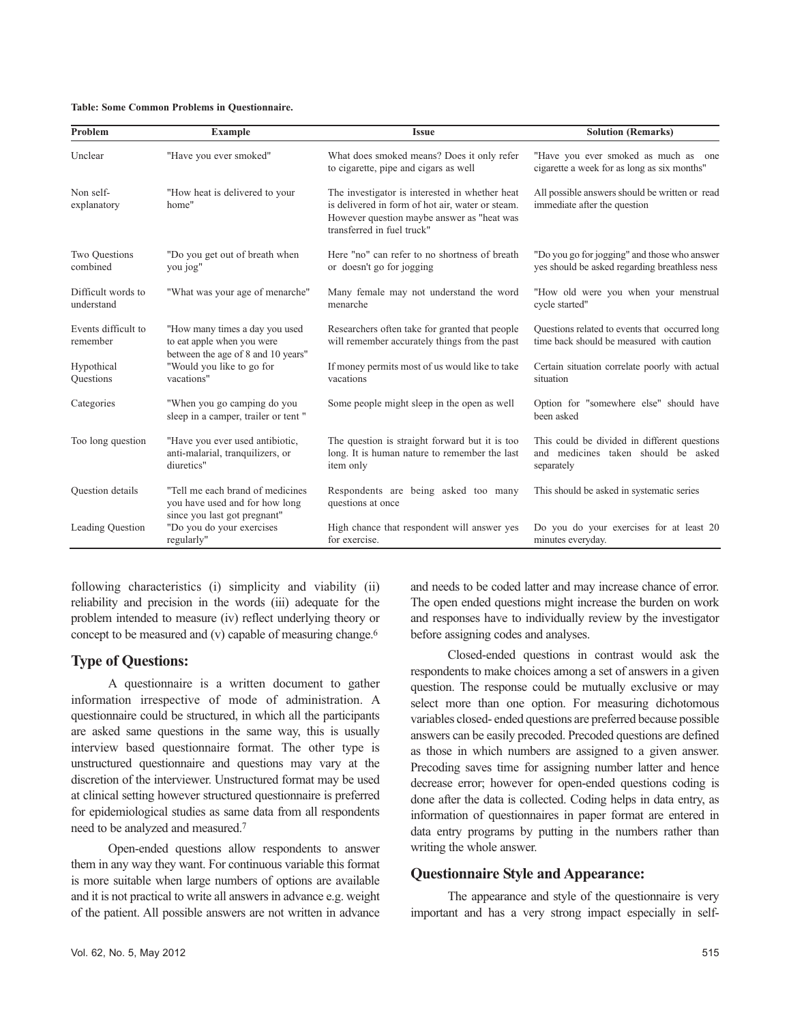#### **Table: Some Common Problems in Questionnaire.**

| Problem                          | Example                                                                                            | <b>Issue</b>                                                                                                                                                                   | <b>Solution (Remarks)</b>                                                                         |
|----------------------------------|----------------------------------------------------------------------------------------------------|--------------------------------------------------------------------------------------------------------------------------------------------------------------------------------|---------------------------------------------------------------------------------------------------|
| Unclear                          | "Have you ever smoked"                                                                             | What does smoked means? Does it only refer<br>to cigarette, pipe and cigars as well                                                                                            | "Have you ever smoked as much as<br>one<br>cigarette a week for as long as six months"            |
| Non self-<br>explanatory         | "How heat is delivered to your<br>home"                                                            | The investigator is interested in whether heat<br>is delivered in form of hot air, water or steam.<br>However question maybe answer as "heat was<br>transferred in fuel truck" | All possible answers should be written or read<br>immediate after the question                    |
| Two Ouestions<br>combined        | "Do you get out of breath when<br>you jog"                                                         | Here "no" can refer to no shortness of breath<br>or doesn't go for jogging                                                                                                     | "Do you go for jogging" and those who answer<br>yes should be asked regarding breathless ness     |
| Difficult words to<br>understand | "What was your age of menarche"                                                                    | Many female may not understand the word<br>menarche                                                                                                                            | "How old were you when your menstrual<br>cycle started"                                           |
| Events difficult to<br>remember  | "How many times a day you used<br>to eat apple when you were<br>between the age of 8 and 10 years" | Researchers often take for granted that people<br>will remember accurately things from the past                                                                                | Questions related to events that occurred long<br>time back should be measured with caution       |
| Hypothical<br>Ouestions          | "Would you like to go for<br>vacations"                                                            | If money permits most of us would like to take<br>vacations                                                                                                                    | Certain situation correlate poorly with actual<br>situation                                       |
| Categories                       | "When you go camping do you<br>sleep in a camper, trailer or tent"                                 | Some people might sleep in the open as well                                                                                                                                    | Option for "somewhere else" should have<br>been asked                                             |
| Too long question                | "Have you ever used antibiotic,<br>anti-malarial, tranquilizers, or<br>diuretics"                  | The question is straight forward but it is too<br>long. It is human nature to remember the last<br>item only                                                                   | This could be divided in different questions<br>and medicines taken should be asked<br>separately |
| <b>Ouestion</b> details          | "Tell me each brand of medicines<br>you have used and for how long<br>since you last got pregnant" | Respondents are being asked too many<br>questions at once                                                                                                                      | This should be asked in systematic series                                                         |
| Leading Question                 | "Do you do your exercises<br>regularly"                                                            | High chance that respondent will answer yes<br>for exercise.                                                                                                                   | Do you do your exercises for at least 20<br>minutes everyday.                                     |

following characteristics (i) simplicity and viability (ii) reliability and precision in the words (iii) adequate for the problem intended to measure (iv) reflect underlying theory or concept to be measured and (v) capable of measuring change.<sup>6</sup>

### **Type of Questions:**

A questionnaire is a written document to gather information irrespective of mode of administration. A questionnaire could be structured, in which all the participants are asked same questions in the same way, this is usually interview based questionnaire format. The other type is unstructured questionnaire and questions may vary at the discretion of the interviewer. Unstructured format may be used at clinical setting however structured questionnaire is preferred for epidemiological studies as same data from all respondents need to be analyzed and measured.<sup>7</sup>

Open-ended questions allow respondents to answer them in any way they want. For continuous variable this format is more suitable when large numbers of options are available and it is not practical to write all answers in advance e.g. weight of the patient. All possible answers are not written in advance

and needs to be coded latter and may increase chance of error. The open ended questions might increase the burden on work and responses have to individually review by the investigator before assigning codes and analyses.

Closed-ended questions in contrast would ask the respondents to make choices among a set of answers in a given question. The response could be mutually exclusive or may select more than one option. For measuring dichotomous variables closed- ended questions are preferred because possible answers can be easily precoded. Precoded questions are defined as those in which numbers are assigned to a given answer. Precoding saves time for assigning number latter and hence decrease error; however for open-ended questions coding is done after the data is collected. Coding helps in data entry, as information of questionnaires in paper format are entered in data entry programs by putting in the numbers rather than writing the whole answer.

### **Questionnaire Style and Appearance:**

The appearance and style of the questionnaire is very important and has a very strong impact especially in self